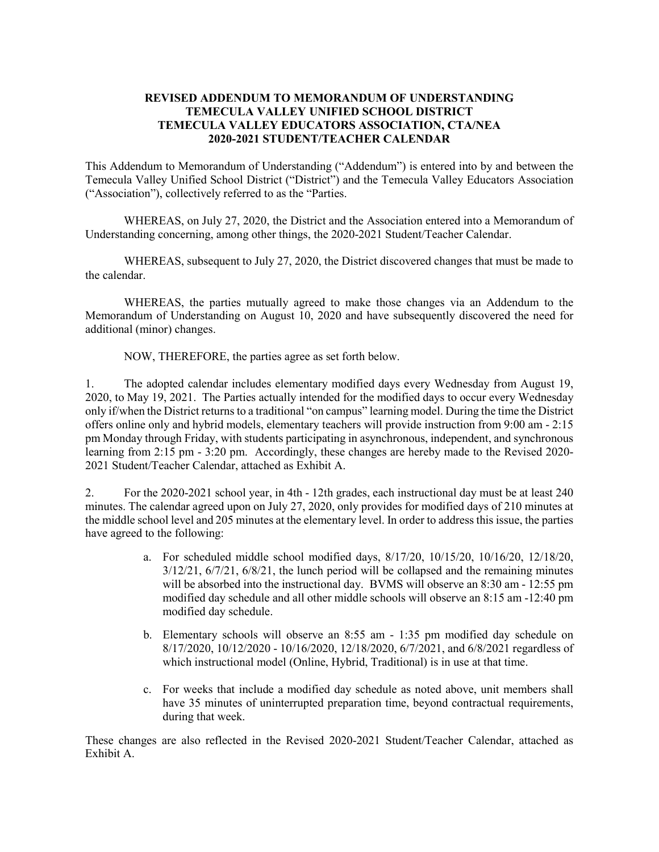## **REVISED ADDENDUM TO MEMORANDUM OF UNDERSTANDING TEMECULA VALLEY UNIFIED SCHOOL DISTRICT TEMECULA VALLEY EDUCATORS ASSOCIATION, CTA/NEA 2020-2021 STUDENT/TEACHER CALENDAR**

This Addendum to Memorandum of Understanding ("Addendum") is entered into by and between the Temecula Valley Unified School District ("District") and the Temecula Valley Educators Association ("Association"), collectively referred to as the "Parties.

WHEREAS, on July 27, 2020, the District and the Association entered into a Memorandum of Understanding concerning, among other things, the 2020-2021 Student/Teacher Calendar.

WHEREAS, subsequent to July 27, 2020, the District discovered changes that must be made to the calendar.

WHEREAS, the parties mutually agreed to make those changes via an Addendum to the Memorandum of Understanding on August 10, 2020 and have subsequently discovered the need for additional (minor) changes.

NOW, THEREFORE, the parties agree as set forth below.

1. The adopted calendar includes elementary modified days every Wednesday from August 19, 2020, to May 19, 2021. The Parties actually intended for the modified days to occur every Wednesday only if/when the District returns to a traditional "on campus" learning model. During the time the District offers online only and hybrid models, elementary teachers will provide instruction from 9:00 am - 2:15 pm Monday through Friday, with students participating in asynchronous, independent, and synchronous learning from 2:15 pm - 3:20 pm. Accordingly, these changes are hereby made to the Revised 2020- 2021 Student/Teacher Calendar, attached as Exhibit A.

2. For the 2020-2021 school year, in 4th - 12th grades, each instructional day must be at least 240 minutes. The calendar agreed upon on July 27, 2020, only provides for modified days of 210 minutes at the middle school level and 205 minutes at the elementary level. In order to address this issue, the parties have agreed to the following:

- a. For scheduled middle school modified days, 8/17/20, 10/15/20, 10/16/20, 12/18/20,  $3/12/21$ ,  $6/7/21$ ,  $6/8/21$ , the lunch period will be collapsed and the remaining minutes will be absorbed into the instructional day. BVMS will observe an 8:30 am - 12:55 pm modified day schedule and all other middle schools will observe an 8:15 am -12:40 pm modified day schedule.
- b. Elementary schools will observe an 8:55 am 1:35 pm modified day schedule on 8/17/2020, 10/12/2020 - 10/16/2020, 12/18/2020, 6/7/2021, and 6/8/2021 regardless of which instructional model (Online, Hybrid, Traditional) is in use at that time.
- c. For weeks that include a modified day schedule as noted above, unit members shall have 35 minutes of uninterrupted preparation time, beyond contractual requirements, during that week.

These changes are also reflected in the Revised 2020-2021 Student/Teacher Calendar, attached as Exhibit A.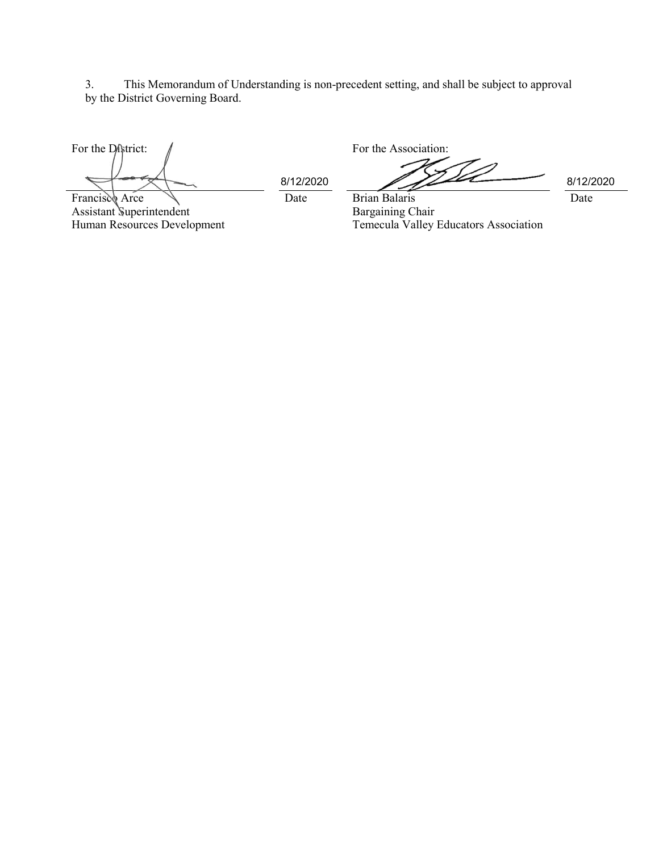3. This Memorandum of Understanding is non-precedent setting, and shall be subject to approval by the District Governing Board.

For the District:  $\int$ Francisco Arce

Assistant Superintendent Human Resources Development

Date Brian Balaris 8/12/2020 8/12/2020

Date

Bargaining Chair Temecula Valley Educators Association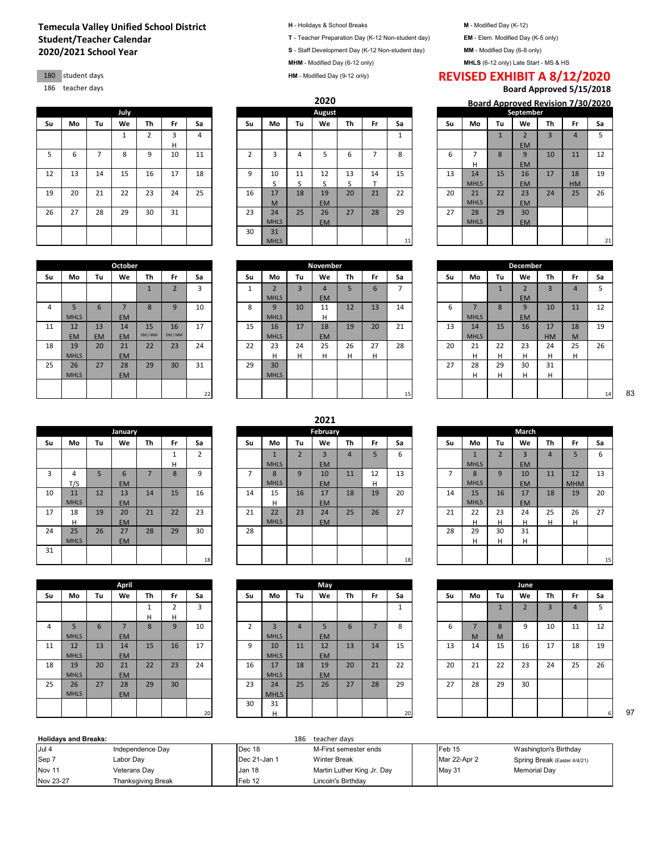## **2020/2021 School Year Temecula Valley Unified School District H** - Holidays & School Breaks **M** - Modified Day (K-12)<br> **Student/Teacher Calendar Calendar M** - Elem. Modified Day (K-5 only) **Student / Teacher Preparation Day (K-5 only) Student/Teacher Calendar T** - Teacher Preparation Day (K-12 Non-student day)

4 5 MHLS

11 12 EM

18 19 MHLS

25 26 MHLS

|    |    |    | July         |                |    |    |                |     |
|----|----|----|--------------|----------------|----|----|----------------|-----|
| Su | Mo | Tu | We           | Th             | Fr | Sa | Su             | Mo  |
|    |    |    | $\mathbf{1}$ | $\overline{2}$ | 3  | 4  |                |     |
|    |    |    |              |                | н  |    |                |     |
| 5  | 6  | 7  | 8            | 9              | 10 | 11 | $\overline{2}$ | 3   |
|    |    |    |              |                |    |    |                |     |
| 12 | 13 | 14 | 15           | 16             | 17 | 18 | 9              | 10  |
|    |    |    |              |                |    |    |                | S   |
| 19 | 20 | 21 | 22           | 23             | 24 | 25 | 16             | 17  |
|    |    |    |              |                |    |    |                | M   |
| 26 | 27 | 28 | 29           | 30             | 31 |    | 23             | 24  |
|    |    |    |              |                |    |    |                | MHI |
|    |    |    |              |                |    |    | 30             | 31  |
|    |    |    |              |                |    |    |                | MHI |

6 7 EM

27 28 EM

14 EM

21 EM

15 EM / MM

16 EM / MM

13 EM

|  |  |  |  |  |  | I - Holidays & School Breaks |
|--|--|--|--|--|--|------------------------------|
|--|--|--|--|--|--|------------------------------|

**S** - Staff Development Day (K-12 Non-student day) **MM** - Modified Day (6-8 only)

**MHM** - Modified Day (6-12 only) **MHLS** (6-12 only) Late Start - MS & HS

**HM** - Modified Day (9-12 only)

**2020**

|    |    |    |      |    |    |    |    |                |    |           |    |    |    |    |             |    | <b>Dodi u Apploveu Revision 77507202</b> |                |           |                |
|----|----|----|------|----|----|----|----|----------------|----|-----------|----|----|----|----|-------------|----|------------------------------------------|----------------|-----------|----------------|
|    |    |    | July |    |    |    |    |                |    | August    |    |    |    |    |             |    | September                                |                |           |                |
| Su | Mo | Tu | We   | Th | Fr | Sa | Su | Mo             | Tu | We        | Th | Fr | Sa | Su | Mo          | Tu | We                                       | Th             | Fr.       | Sa             |
|    |    |    |      |    | 3  | 4  |    |                |    |           |    |    |    |    |             |    | $\overline{2}$                           | $\overline{3}$ | 4         |                |
|    |    |    |      |    | Н  |    |    |                |    |           |    |    |    |    |             |    | <b>EM</b>                                |                |           |                |
| 5  | ь  | ⇁  | 8    | q  | 10 | 11 | h  | 3              | 4  |           | 6  | ⇁  | 8  | 6  | -           | 8  | 9                                        | 10             | 11        | 12             |
|    |    |    |      |    |    |    |    |                |    |           |    |    |    |    | н           |    | <b>EM</b>                                |                |           |                |
| 12 | 13 | 14 | 15   | 16 | 17 | 18 | 9  | 10             | 11 | 12        | 13 | 14 | 15 | 13 | 14          | 15 | 16                                       | 17             | 18        | 1 <sup>c</sup> |
|    |    |    |      |    |    |    |    | $\overline{ }$ |    |           |    | ÷  |    |    | <b>MHLS</b> |    | <b>EM</b>                                |                | <b>HM</b> |                |
| 19 | 20 | 21 | 22   | 23 | 24 | 25 | 16 | 17             | 18 | 19        | 20 | 21 | 22 | 20 | 21          | 22 | 23                                       | 24             | 25        | 26             |
|    |    |    |      |    |    |    |    | M              |    | <b>EM</b> |    |    |    |    | <b>MHLS</b> |    | <b>EM</b>                                |                |           |                |
| 26 | 27 | 28 | 29   | 30 | 31 |    | 23 | 24             | 25 | 26        | 27 | 28 | 29 | 27 | 28          | 29 | 30                                       |                |           |                |
|    |    |    |      |    |    |    |    | <b>MHLS</b>    |    | <b>EM</b> |    |    |    |    | <b>MHLS</b> |    | <b>EM</b>                                |                |           |                |
|    |    |    |      |    |    |    | 30 | 31             |    |           |    |    |    |    |             |    |                                          |                |           |                |
|    |    |    |      |    |    |    |    | <b>MHLS</b>    |    |           |    |    | 11 |    |             |    |                                          |                |           |                |

| ᆠᄼ | ∸  | ᆠ           | ᅩ       | ∸       | <b>.</b>                 | ⊥ບ | ╯  | ∸∼          |                | ᆠ               | ᅩ  | ᆠ<br>÷ | ∸  | ᅩ  | --<br><b>MHLS</b> | ᅩ  | $\overline{10}$               | $\pm$ | τo        | -- |
|----|----|-------------|---------|---------|--------------------------|----|----|-------------|----------------|-----------------|----|--------|----|----|-------------------|----|-------------------------------|-------|-----------|----|
|    |    |             |         |         |                          |    |    |             |                |                 |    |        |    |    |                   |    | <b>EM</b>                     |       | <b>HM</b> |    |
| 19 | 20 | 21          | 22      | 23      | 24                       | 25 | 16 | 17          | 18             | 19              | 20 | 21     | 22 | 20 | 21                | 22 | 23                            | 24    | 25        | 26 |
|    |    |             |         |         |                          |    |    | M           |                | <b>EM</b>       |    |        |    |    | <b>MHLS</b>       |    | <b>EM</b>                     |       |           |    |
| 26 | 27 | 28          | 29      | 30      | 31                       |    | 23 | 24          | 25             | 26              | 27 | 28     | 29 | 27 | 28                | 29 | 30                            |       |           |    |
|    |    |             |         |         |                          |    |    | <b>MHLS</b> |                | <b>EM</b>       |    |        |    |    | <b>MHLS</b>       |    | <b>EM</b>                     |       |           |    |
|    |    |             |         |         |                          |    | 30 | 31          |                |                 |    |        |    |    |                   |    |                               |       |           |    |
|    |    |             |         |         |                          |    |    | <b>MHLS</b> |                |                 |    |        | 11 |    |                   |    |                               |       |           |    |
|    |    |             |         |         |                          |    |    |             |                |                 |    |        |    |    |                   |    |                               |       |           |    |
|    |    |             | October |         |                          |    |    |             |                | <b>November</b> |    |        |    |    |                   |    | <b>December</b>               |       |           |    |
| Su | Mo | Tu          | We      | Th      | Fr                       | Sa | Su | Mo          | Tu             | We              | Th | Fr     | Sa | Su | Mo                | Tu | We                            | Th    | Fr        | Sa |
|    |    |             |         |         | $\overline{\phantom{0}}$ | 3  |    | $\sqrt{2}$  | $\overline{3}$ | 4               | 5  | 6      | -  |    |                   |    | $\overline{\phantom{a}}$<br>z | 3     | 4         |    |
|    |    |             |         |         |                          |    |    | <b>MHLS</b> |                | <b>EM</b>       |    |        |    |    |                   |    | <b>EM</b>                     |       |           |    |
| 4  |    | $\mathbf b$ |         | $\circ$ | 9                        | 10 | 8  | 9           | 10             | 11              | 12 | 13     | 14 |    | -                 |    | 9                             | 10    | 11        | 12 |

**2021**

17 15 16

22 23 24 22 23

29 30 31 29 30

## 180 student days **REVISED EXHIBIT A 8/12/2020**<br>180 student days **REVISED EXHIBIT A 8/12/2020**

Board Approved 5/15/2018

|             |    | 2020      |    |    |              |    |             |              |                |    | Board Approved Revision 7/30/2020 |    |
|-------------|----|-----------|----|----|--------------|----|-------------|--------------|----------------|----|-----------------------------------|----|
|             |    | August    |    |    |              |    |             |              | September      |    |                                   |    |
| Mo          | Tu | We        | Τh | Fr | Sa           | Su | Mo          | Tu           | We             | Τh | Fr                                | Sa |
|             |    |           |    |    | $\mathbf{1}$ |    |             | $\mathbf{1}$ | $\overline{2}$ | 3  | 4                                 | 5  |
|             |    |           |    |    |              |    |             |              | <b>EM</b>      |    |                                   |    |
| 3           | 4  | 5         | 6  | 7  | 8            | 6  | 7           | 8            | 9              | 10 | 11                                | 12 |
|             |    |           |    |    |              |    | н           |              | <b>EM</b>      |    |                                   |    |
| 10          | 11 | 12        | 13 | 14 | 15           | 13 | 14          | 15           | 16             | 17 | 18                                | 19 |
| S           | S  | S         | S  | T  |              |    | <b>MHLS</b> |              | <b>EM</b>      |    | <b>HM</b>                         |    |
| 17          | 18 | 19        | 20 | 21 | 22           | 20 | 21          | 22           | 23             | 24 | 25                                | 26 |
| M           |    | <b>EM</b> |    |    |              |    | <b>MHLS</b> |              | <b>EM</b>      |    |                                   |    |
| 24          | 25 | 26        | 27 | 28 | 29           | 27 | 28          | 29           | 30             |    |                                   |    |
| <b>MHLS</b> |    | <b>EM</b> |    |    |              |    | <b>MHLS</b> |              | <b>EM</b>      |    |                                   |    |
| 31          |    |           |    |    |              |    |             |              |                |    |                                   |    |
| <b>MHLS</b> |    |           |    |    | $11\,$       |    |             |              |                |    |                                   | 21 |

|    |              |                |    | November       |    |    |                |    |             |              | December       |           |                |    |
|----|--------------|----------------|----|----------------|----|----|----------------|----|-------------|--------------|----------------|-----------|----------------|----|
|    | Su           | Mo             | Tu | We             | Th | Fr | Sa             | Su | Mo          | Tu           | We             | Th        | Fr             | Sa |
|    | $\mathbf{1}$ | $\overline{2}$ | 3  | $\overline{4}$ | 5  | 6  | $\overline{7}$ |    |             | $\mathbf{1}$ | $\overline{2}$ | 3         | $\overline{4}$ | 5  |
|    |              | <b>MHLS</b>    |    | <b>EM</b>      |    |    |                |    |             |              | <b>EM</b>      |           |                |    |
|    | 8            | 9              | 10 | 11             | 12 | 13 | 14             | 6  | ⇁           | 8            | 9              | 10        | 11             | 12 |
|    |              | <b>MHLS</b>    |    | H              |    |    |                |    | <b>MHLS</b> |              | <b>EM</b>      |           |                |    |
|    | 15           | 16             | 17 | 18             | 19 | 20 | 21             | 13 | 14          | 15           | 16             | 17        | 18             | 19 |
|    |              | <b>MHLS</b>    |    | <b>EM</b>      |    |    |                |    | <b>MHLS</b> |              |                | <b>HM</b> | M              |    |
|    | 22           | 23             | 24 | 25             | 26 | 27 | 28             | 20 | 21          | 22           | 23             | 24        | 25             | 26 |
|    |              | H              | H  | H              | H  | H  |                |    | H           | H            | н              | H         | H              |    |
|    | 29           | 30             |    |                |    |    |                | 27 | 28          | 29           | 30             | 31        |                |    |
|    |              | <b>MHLS</b>    |    |                |    |    |                |    | н           | H            | H              | H         |                |    |
|    |              |                |    |                |    |    |                |    |             |              |                |           |                |    |
| 22 |              |                |    |                |    |    | 15             |    |             |              |                |           |                | 14 |

|    |             |    |                |    |    |        |    |             |    | 스모스노      |    |    |    |    |             |                          |           |    |            |    |
|----|-------------|----|----------------|----|----|--------|----|-------------|----|-----------|----|----|----|----|-------------|--------------------------|-----------|----|------------|----|
|    |             |    | <b>January</b> |    |    |        |    |             |    | February  |    |    |    |    |             |                          | March     |    |            |    |
| Su | Mo          | Tu | We             | Th | Fr | Sa     | Su | Mo          | Tu | We        | Th | Fr | Sa | Su | Mo          | Tu                       | We        | Th | Fr         | Sa |
|    |             |    |                |    | л. | h<br>ے |    |             |    | 3         | 4  | 5  | 6  |    |             | $\overline{\phantom{0}}$ | $\sim$    | 4  | 5          | 6  |
|    |             |    |                |    | н  |        |    | <b>MHLS</b> |    | <b>EM</b> |    |    |    |    | <b>MHLS</b> |                          | <b>EM</b> |    |            |    |
| 3  |             | 5  | $\mathbf{b}$   | –  | 8  | 9      |    | 8           | 9  | 10        | 11 | 12 | 13 | -  | 8           | 9                        | 10        | 11 | 12         | 13 |
|    | T/S         |    | <b>EM</b>      |    |    |        |    | <b>MHLS</b> |    | <b>EM</b> |    | Н  |    |    | <b>MHLS</b> |                          | <b>EM</b> |    | <b>MHM</b> |    |
| 10 | 11          | 12 | 13             | 14 | 15 | 16     | 14 | 15          | 16 | 17        | 18 | 19 | 20 | 14 | 15          | 16                       | 17        | 18 | 19         | 2C |
|    | <b>MHLS</b> |    | <b>EM</b>      |    |    |        |    | н           |    | <b>EM</b> |    |    |    |    | <b>MHLS</b> |                          | <b>EM</b> |    |            |    |
| 17 | 18          | 19 | 20             | 21 | 22 | 23     | 21 | 22          | 23 | 24        | 25 | 26 | 27 | 21 | 22          | 23                       | 24        | 25 | 26         | 27 |
|    | н           |    | <b>EM</b>      |    |    |        |    | <b>MHLS</b> |    | <b>EM</b> |    |    |    |    | ш           | н                        | н         | н  | н          |    |
| 24 | 25          | 26 | 27             | 28 | 29 | 30     | 28 |             |    |           |    |    |    | 28 | 29          | 30                       | 31        |    |            |    |
|    | <b>MHLS</b> |    | <b>EM</b>      |    |    |        |    |             |    |           |    |    |    |    |             | н                        | н         |    |            |    |
| 31 |             |    |                |    |    |        |    |             |    |           |    |    |    |    |             |                          |           |    |            |    |
|    |             |    |                |    |    | 18     |    |             |    |           |    |    | 18 |    |             |                          |           |    |            |    |

|    |             |    | April          |              |                |    |                |                |
|----|-------------|----|----------------|--------------|----------------|----|----------------|----------------|
| Su | Mo          | Tu | We             | Th           | Fr             | Sa | Su             | Mo             |
|    |             |    |                | $\mathbf{1}$ | $\overline{2}$ | 3  |                |                |
|    |             |    |                | н            | н              |    |                |                |
| 4  | 5           | 6  | $\overline{7}$ | 8            | 9              | 10 | $\overline{2}$ | $\overline{3}$ |
|    | <b>MHLS</b> |    | <b>EM</b>      |              |                |    |                | MHI            |
| 11 | 12          | 13 | 14             | 15           | 16             | 17 | 9              | 10             |
|    | <b>MHLS</b> |    | <b>EM</b>      |              |                |    |                | MHI            |
| 18 | 19          | 20 | 21             | 22           | 23             | 24 | 16             | 17             |
|    | <b>MHLS</b> |    | <b>EM</b>      |              |                |    |                | MHI            |
| 25 | 26          | 27 | 28             | 29           | 30             |    | 23             | 24             |
|    | <b>MHLS</b> |    | <b>EM</b>      |              |                |    |                | <b>MHI</b>     |
|    |             |    |                |              |                |    | 30             | 31             |
|    |             |    |                |              |                | 20 |                | н              |

|                | 1  | $\overline{2}$ |    | $\mathbf{1}$ | $\overline{2}$ | $\overline{3}$ | $\overline{4}$ | 5  | 6  |    | $\mathbf{1}$ |
|----------------|----|----------------|----|--------------|----------------|----------------|----------------|----|----|----|--------------|
|                | н  |                |    | <b>MHLS</b>  |                | <b>EM</b>      |                |    |    |    | MHL          |
| $\overline{7}$ | 8  | 9              | 7  | 8            | 9              | 10             | 11             | 12 | 13 | 7  | 8            |
|                |    |                |    | <b>MHLS</b>  |                | <b>EM</b>      |                | н  |    |    | MHL          |
| 14             | 15 | 16             | 14 | 15           | 16             | 17             | 18             | 19 | 20 | 14 | 15           |
|                |    |                |    | н            |                | <b>EM</b>      |                |    |    |    | MHL          |
| 21             | 22 | 23             | 21 | 22           | 23             | 24             | 25             | 26 | 27 | 21 | 22           |
|                |    |                |    | <b>MHLS</b>  |                | <b>EM</b>      |                |    |    |    | н            |
| 28             | 29 | 30             | 28 |              |                |                |                |    |    | 28 | 29           |
|                |    |                |    |              |                |                |                |    |    |    | н            |
|                |    |                |    |              |                |                |                |    |    |    |              |
|                |    | 18             |    |              |                |                |                |    | 18 |    |              |
|                |    |                |    |              |                |                |                |    |    |    |              |
|                |    |                |    |              |                |                |                |    |    |    |              |
|                |    |                |    |              |                | May            |                |    |    |    |              |

|    |             |    | April     |                 |           |    |    |             |    | May       |    |           |    |    |    |    | June |                |           |    |
|----|-------------|----|-----------|-----------------|-----------|----|----|-------------|----|-----------|----|-----------|----|----|----|----|------|----------------|-----------|----|
| Su | Mo          | Tu | We        | Th              | <b>Fr</b> | Sa | Su | Mo          | Tu | We        | Th | <b>Fr</b> | Sa | Su | Mo | Tu | We   | Th             | <b>Fr</b> | Sa |
|    |             |    |           |                 | ∽         | 3  |    |             |    |           |    |           |    |    |    |    |      | $\overline{3}$ |           | 5  |
|    |             |    |           | н               | H         |    |    |             |    |           |    |           |    |    |    |    |      |                |           |    |
| 4  |             | 6  |           | 8               | 9         | 10 |    | 3           | 4  |           | 6  |           | 8  | ь  | -  | 8  | a    | 10             | 11        | 12 |
|    | <b>MHLS</b> |    | <b>EM</b> |                 |           |    |    | <b>MHLS</b> |    | <b>EM</b> |    |           |    |    | M  | M  |      |                |           |    |
| 11 | 12          | 13 | 14        | 15 <sup>5</sup> | 16        | 17 | 9  | 10          | 11 | 12        | 13 | 14        | 15 | 13 | 14 | 15 | 16   | 17             | 18        | 19 |
|    | <b>MHLS</b> |    | <b>EM</b> |                 |           |    |    | <b>MHLS</b> |    | <b>EM</b> |    |           |    |    |    |    |      |                |           |    |
| 18 | 19          | 20 | 21        | 22              | 23        | 24 | 16 | 17          | 18 | 19        | 20 | 21        | 22 | 20 | 21 | 22 | 23   | 24             | 25        | 26 |
|    | <b>MHLS</b> |    | <b>EM</b> |                 |           |    |    | <b>MHLS</b> |    | <b>EM</b> |    |           |    |    |    |    |      |                |           |    |
| 25 | 26          | 27 | 28        | 29              | 30        |    | 23 | 24          | 25 | 26        | 27 | 28        | 29 | 27 | 28 | 29 | 30   |                |           |    |
|    | <b>MHLS</b> |    | <b>EM</b> |                 |           |    |    | <b>MHLS</b> |    |           |    |           |    |    |    |    |      |                |           |    |
|    |             |    |           |                 |           |    | 30 | 31          |    |           |    |           |    |    |    |    |      |                |           |    |
|    |             |    |           |                 |           | 20 |    | H           |    |           |    |           | 20 |    |    |    |      |                |           |    |

|    |    |              |                | February  |    |    |    |    |              |                | March     |                |            |    |
|----|----|--------------|----------------|-----------|----|----|----|----|--------------|----------------|-----------|----------------|------------|----|
|    | Su | Mo           | Tu             | We        | Th | Fr | Sa | Su | Mo           | Tu             | We        | Th             | Fr         | Sa |
|    |    | $\mathbf{1}$ | $\overline{2}$ | 3         | 4  | 5  | 6  |    | $\mathbf{1}$ | $\overline{2}$ | 3         | $\overline{4}$ | 5          | 6  |
|    |    | <b>MHLS</b>  |                | <b>EM</b> |    |    |    |    | <b>MHLS</b>  |                | <b>EM</b> |                |            |    |
|    | 7  | 8            | 9              | 10        | 11 | 12 | 13 | 7  | 8            | 9              | 10        | 11             | 12         | 13 |
|    |    | <b>MHLS</b>  |                | <b>EM</b> |    | н  |    |    | <b>MHLS</b>  |                | <b>EM</b> |                | <b>MHM</b> |    |
|    | 14 | 15           | 16             | 17        | 18 | 19 | 20 | 14 | 15           | 16             | 17        | 18             | 19         | 20 |
|    |    | Н            |                | <b>EM</b> |    |    |    |    | <b>MHLS</b>  |                | <b>EM</b> |                |            |    |
|    | 21 | 22           | 23             | 24        | 25 | 26 | 27 | 21 | 22           | 23             | 24        | 25             | 26         | 27 |
|    |    | <b>MHLS</b>  |                | <b>EM</b> |    |    |    |    | н            | H              | н         | н              | H          |    |
|    | 28 |              |                |           |    |    |    | 28 | 29           | 30             | 31        |                |            |    |
|    |    |              |                |           |    |    |    |    | Н            | Н              | H         |                |            |    |
|    |    |              |                |           |    |    |    |    |              |                |           |                |            |    |
| 18 |    |              |                |           |    |    | 18 |    |              |                |           |                |            | 15 |

|    |                |              |    |                     |              | June           |                |                |    |
|----|----------------|--------------|----|---------------------|--------------|----------------|----------------|----------------|----|
| Τh | Fr             | Sa           | Su | Mo                  | Tu           | We             | Th             | Fr             | Sa |
|    |                | $\mathbf{1}$ |    |                     | $\mathbf{1}$ | $\overline{2}$ | $\overline{3}$ | $\overline{4}$ | 5  |
| 6  | $\overline{7}$ | 8            | 6  | $\overline{7}$<br>M | 8<br>M       | 9              | 10             | 11             | 12 |
| 13 | 14             | 15           | 13 | 14                  | 15           | 16             | 17             | 18             | 19 |
| 20 | 21             | 22           | 20 | 21                  | 22           | 23             | 24             | 25             | 26 |
| 27 | 28             | 29           | 27 | 28                  | 29           | 30             |                |                |    |
|    |                | 20           |    |                     |              |                |                |                | 6  |

| <b>Holidavs and Breaks:</b> |                    |  | 186               | teacher davs               |  |              |                              |
|-----------------------------|--------------------|--|-------------------|----------------------------|--|--------------|------------------------------|
| Jul 4                       | Independence Day   |  | Dec 18            | M-First semester ends      |  | Feb 15       | Washington's Birthday        |
| Sep 7                       | Labor Day          |  | Dec 21-Jan 1      | <b>Winter Break</b>        |  | Mar 22-Apr 2 | Spring Break (Easter 4/4/21) |
| Nov 11                      | Veterans Dav       |  | Jan 18            | Martin Luther King Jr. Day |  | May 31       | Memorial Dav                 |
| Nov 23-27                   | Thanksgiving Break |  | Feb <sub>12</sub> | Lincoln's Birthdav         |  |              |                              |